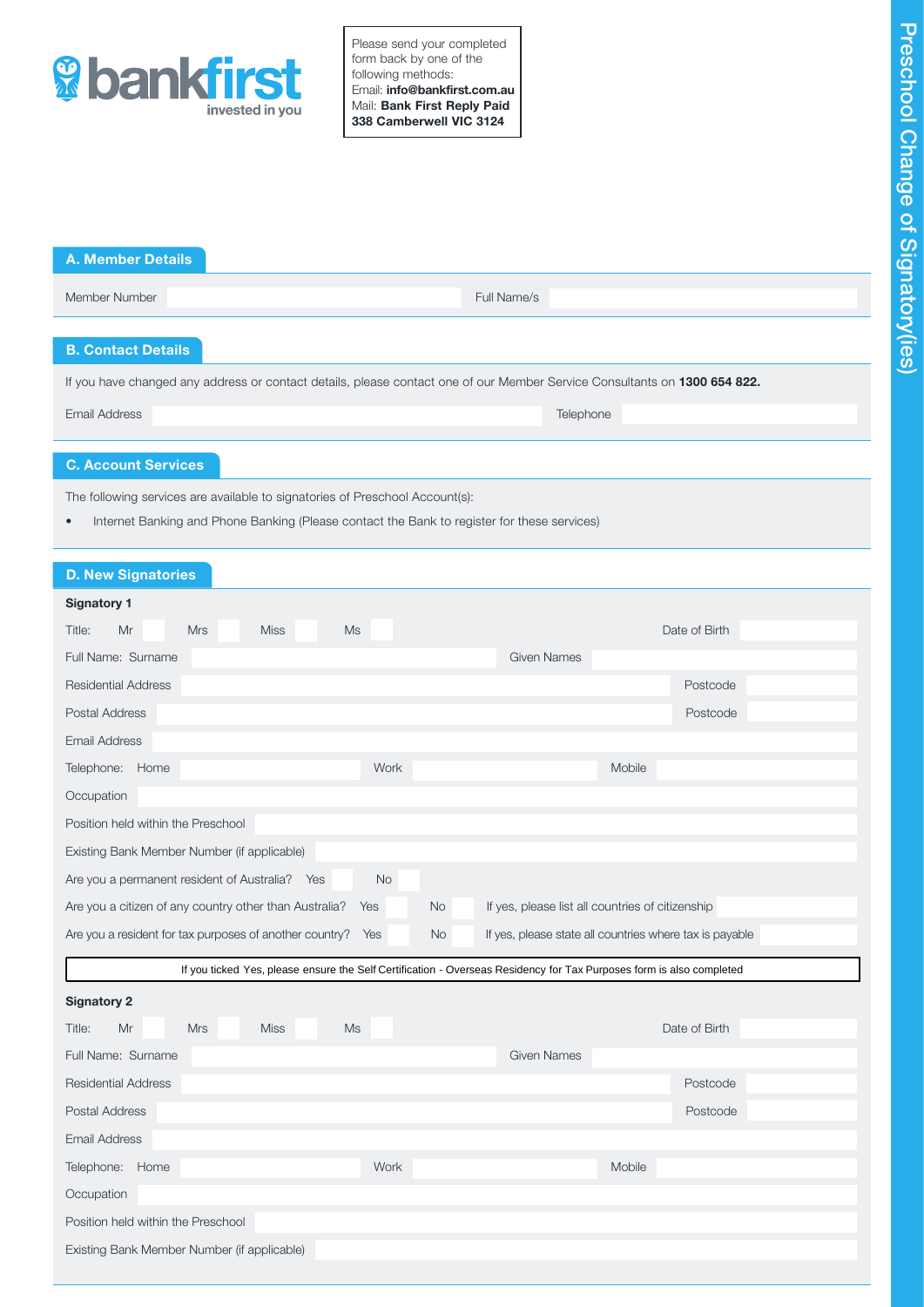

Please send your completed form back by one of the following methods: Email: info@bankfirst.com.au Mail: Bank First Reply Paid 338 Camberwell VIC 3124

| <b>A. Member Details</b>                                                                                                  |             |
|---------------------------------------------------------------------------------------------------------------------------|-------------|
| Member Number                                                                                                             | Full Name/s |
|                                                                                                                           |             |
| <b>B. Contact Details</b>                                                                                                 |             |
| If you have changed any address or contact details, please contact one of our Member Service Consultants on 1300 654 822. |             |

C. Account Services

The following services are available to signatories of Preschool Account(s):

• Internet Banking and Phone Banking (Please contact the Bank to register for these services)

Email Address Telephone

| <b>D. New Signatories</b>                                                                                            |                                                         |
|----------------------------------------------------------------------------------------------------------------------|---------------------------------------------------------|
| <b>Signatory 1</b>                                                                                                   |                                                         |
| Ms<br>Title:<br>Mr<br><b>Mrs</b><br><b>Miss</b>                                                                      | Date of Birth                                           |
| Full Name: Surname<br><b>Given Names</b>                                                                             |                                                         |
| <b>Residential Address</b>                                                                                           | Postcode                                                |
| Postal Address                                                                                                       | Postcode                                                |
| <b>Email Address</b>                                                                                                 |                                                         |
| Telephone: Home<br>Work                                                                                              | Mobile                                                  |
| Occupation                                                                                                           |                                                         |
| Position held within the Preschool                                                                                   |                                                         |
| Existing Bank Member Number (if applicable)                                                                          |                                                         |
| Are you a permanent resident of Australia? Yes<br><b>No</b>                                                          |                                                         |
| No<br>Are you a citizen of any country other than Australia?<br>Yes                                                  | If yes, please list all countries of citizenship        |
| Are you a resident for tax purposes of another country?<br>Yes<br><b>No</b>                                          | If yes, please state all countries where tax is payable |
| If you ticked Yes, please ensure the Self Certification - Overseas Residency for Tax Purposes form is also completed |                                                         |
| <b>Signatory 2</b>                                                                                                   |                                                         |
| Mr<br><b>Mrs</b><br>Ms<br>Title:<br><b>Miss</b>                                                                      | Date of Birth                                           |
| Full Name: Surname<br><b>Given Names</b>                                                                             |                                                         |
| <b>Residential Address</b>                                                                                           | Postcode                                                |
| Postal Address                                                                                                       | Postcode                                                |
| <b>Email Address</b>                                                                                                 |                                                         |
| Work<br>Telephone: Home                                                                                              | Mobile                                                  |
| Occupation                                                                                                           |                                                         |
| Position held within the Preschool                                                                                   |                                                         |
| Existing Bank Member Number (if applicable)                                                                          |                                                         |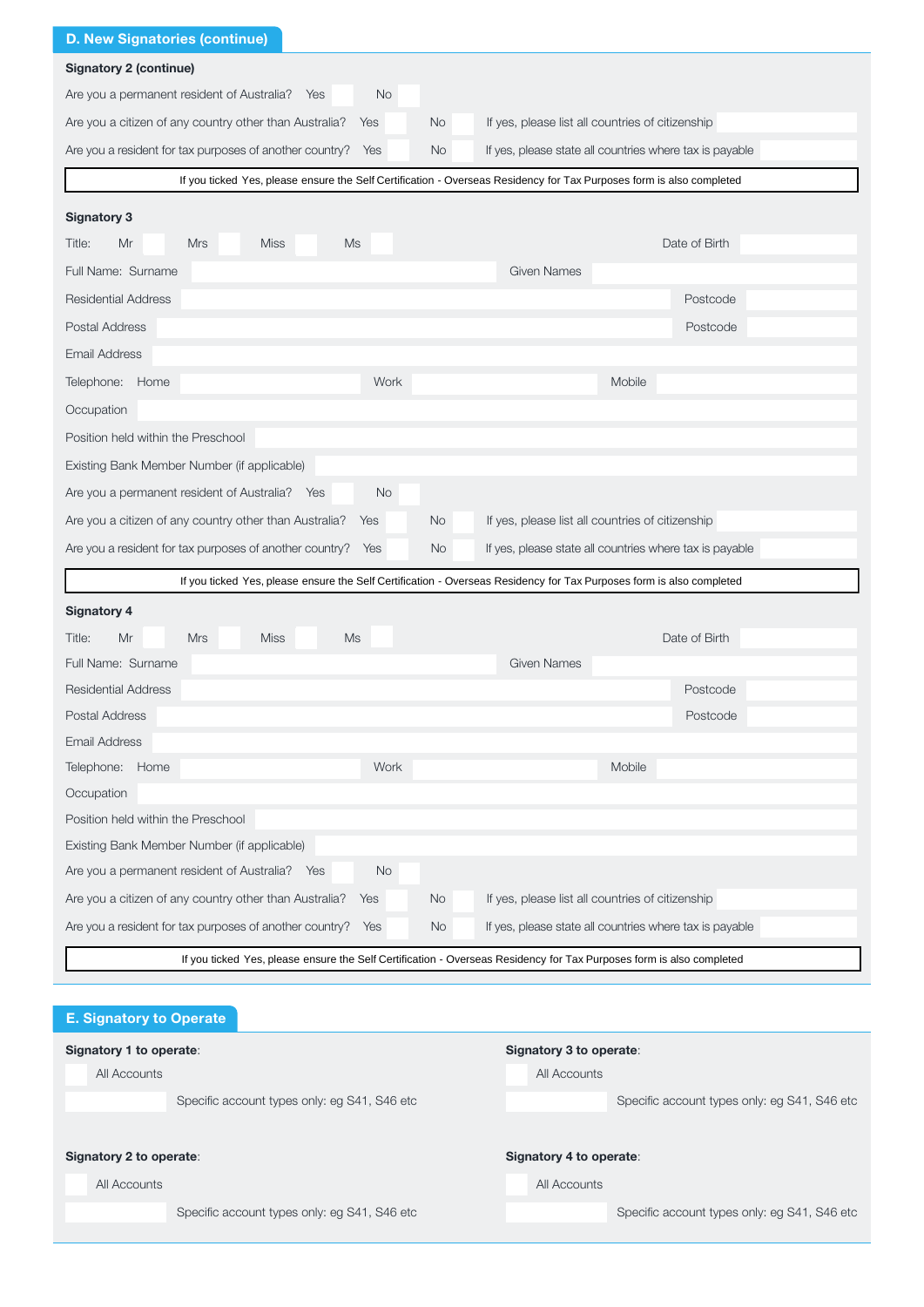| <b>D. New Signatories (continue)</b>                                                                                 |                                                         |
|----------------------------------------------------------------------------------------------------------------------|---------------------------------------------------------|
| <b>Signatory 2 (continue)</b>                                                                                        |                                                         |
| Are you a permanent resident of Australia? Yes<br>No                                                                 |                                                         |
| Are you a citizen of any country other than Australia?<br><b>No</b><br>Yes                                           | If yes, please list all countries of citizenship        |
| Are you a resident for tax purposes of another country?<br>Yes<br>No.                                                | If yes, please state all countries where tax is payable |
| If you ticked Yes, please ensure the Self Certification - Overseas Residency for Tax Purposes form is also completed |                                                         |
| <b>Signatory 3</b>                                                                                                   |                                                         |
| Title:<br>Mr<br><b>Mrs</b><br><b>Miss</b><br>Ms                                                                      | Date of Birth                                           |
| Full Name: Surname                                                                                                   | <b>Given Names</b>                                      |
| <b>Residential Address</b>                                                                                           | Postcode                                                |
| Postal Address                                                                                                       | Postcode                                                |
| <b>Email Address</b>                                                                                                 |                                                         |
| Work<br>Telephone: Home                                                                                              | Mobile                                                  |
| Occupation                                                                                                           |                                                         |
| Position held within the Preschool                                                                                   |                                                         |
| Existing Bank Member Number (if applicable)                                                                          |                                                         |
| Are you a permanent resident of Australia? Yes<br>No                                                                 |                                                         |
| Are you a citizen of any country other than Australia?<br><b>No</b><br>Yes                                           | If yes, please list all countries of citizenship        |
| Are you a resident for tax purposes of another country?<br><b>No</b><br>Yes                                          | If yes, please state all countries where tax is payable |
| If you ticked Yes, please ensure the Self Certification - Overseas Residency for Tax Purposes form is also completed |                                                         |
|                                                                                                                      |                                                         |
| <b>Signatory 4</b><br><b>Ms</b><br>Title:<br>Mr<br><b>Mrs</b><br><b>Miss</b>                                         | Date of Birth                                           |
| Full Name: Surname                                                                                                   | Given Names                                             |
| <b>Residential Address</b>                                                                                           | Postcode                                                |
| Postal Address                                                                                                       | Postcode                                                |
| <b>Email Address</b>                                                                                                 |                                                         |
| Work<br>Telephone: Home                                                                                              | Mobile                                                  |
| Occupation                                                                                                           |                                                         |
| Position held within the Preschool                                                                                   |                                                         |
| Existing Bank Member Number (if applicable)                                                                          |                                                         |
| Are you a permanent resident of Australia? Yes<br>No                                                                 |                                                         |
| Are you a citizen of any country other than Australia?<br>No<br>Yes                                                  | If yes, please list all countries of citizenship        |
| Are you a resident for tax purposes of another country?<br>Yes<br>No.                                                | If yes, please state all countries where tax is payable |
| If you ticked Yes, please ensure the Self Certification - Overseas Residency for Tax Purposes form is also completed |                                                         |
|                                                                                                                      |                                                         |
| <b>E. Signatory to Operate</b>                                                                                       |                                                         |
| Signatory 1 to operate:                                                                                              | Signatory 3 to operate:                                 |
| All Accounts                                                                                                         | All Accounts                                            |

| All Accounts |
|--------------|
|--------------|

Specific account types only: eg S41, S46 etc Specific account types only: eg S41, S46 etc

|  |  | Specific account |
|--|--|------------------|

# Signatory 2 to operate:  $\blacksquare$

All Accounts

Specific account types only: eg S41, S46 etc Specific account types only: eg S41, S46 etc

|  | All Accounts |
|--|--------------|
|  |              |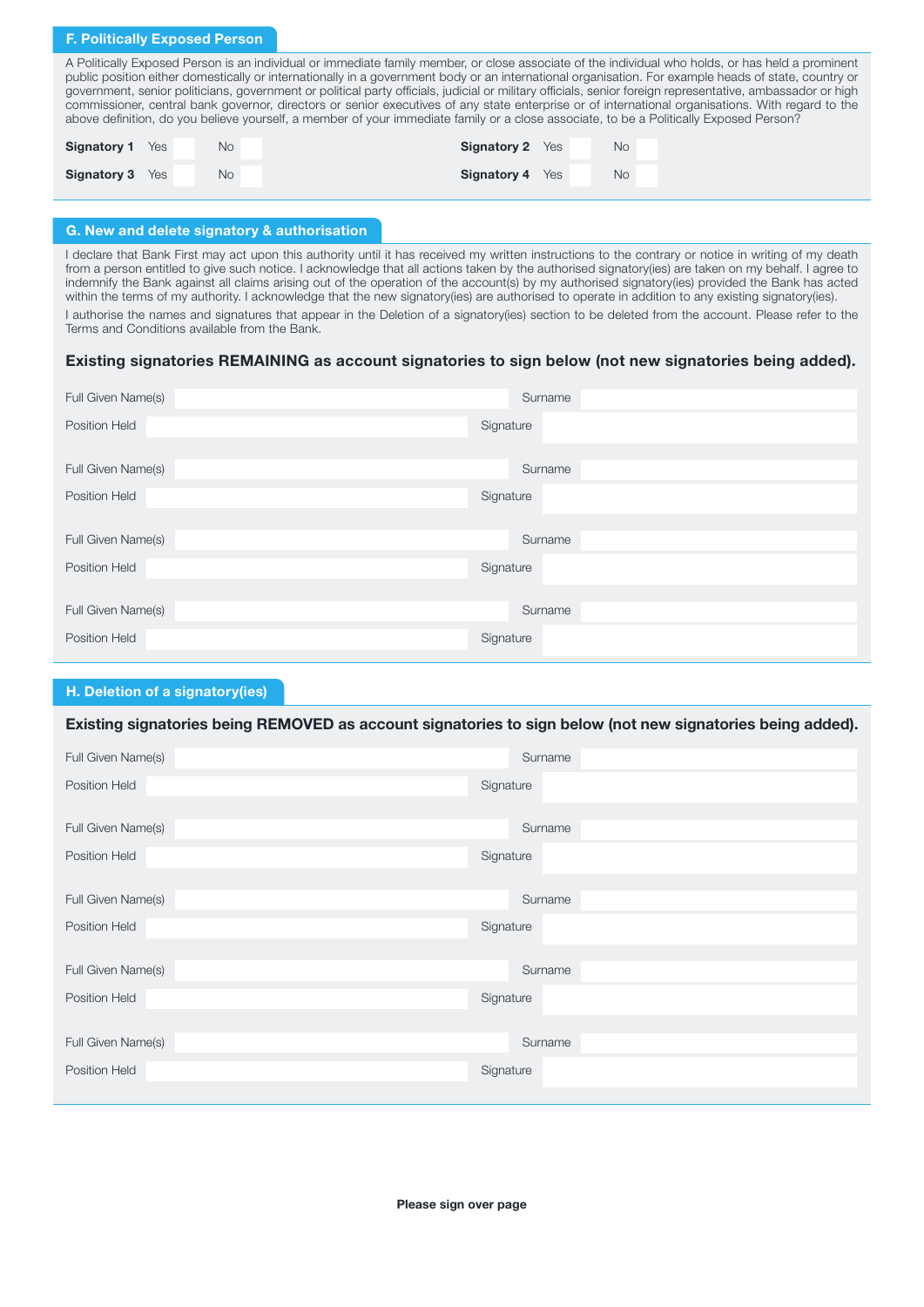## F. Politically Exposed Person

A Politically Exposed Person is an individual or immediate family member, or close associate of the individual who holds, or has held a prominent public position either domestically or internationally in a government body or an international organisation. For example heads of state, country or government, senior politicians, government or political party officials, judicial or military officials, senior foreign representative, ambassador or high commissioner, central bank governor, directors or senior executives of any state enterprise or of international organisations. With regard to the above definition, do you believe yourself, a member of your immediate family or a close associate, to be a Politically Exposed Person?

| <b>Signatory 1</b> | Yes | No        | <b>Signatory 2</b> Yes | <b>No</b> |
|--------------------|-----|-----------|------------------------|-----------|
| Signatory 3        | Yes | <b>No</b> | <b>Signatory 4</b> Yes | <b>No</b> |

# G. New and delete signatory & authorisation

I declare that Bank First may act upon this authority until it has received my written instructions to the contrary or notice in writing of my death from a person entitled to give such notice. I acknowledge that all actions taken by the authorised signatory(ies) are taken on my behalf. I agree to indemnify the Bank against all claims arising out of the operation of the account(s) by my authorised signatory(ies) provided the Bank has acted within the terms of my authority. I acknowledge that the new signatory(ies) are authorised to operate in addition to any existing signatory(ies). I authorise the names and signatures that appear in the Deletion of a signatory(ies) section to be deleted from the account. Please refer to the Terms and Conditions available from the Bank.

# Existing signatories REMAINING as account signatories to sign below (not new signatories being added).

| Full Given Name(s) | Surname   |
|--------------------|-----------|
| Position Held      | Signature |
|                    |           |
| Full Given Name(s) | Surname   |
| Position Held      | Signature |
|                    |           |
| Full Given Name(s) | Surname   |
| Position Held      | Signature |
|                    |           |
| Full Given Name(s) | Surname   |
| Position Held      | Signature |
|                    |           |

# H. Deletion of a signatory(ies)

# Existing signatories being REMOVED as account signatories to sign below (not new signatories being added).

| Full Given Name(s)   | Surname   |
|----------------------|-----------|
| Position Held        | Signature |
|                      |           |
| Full Given Name(s)   | Surname   |
| <b>Position Held</b> | Signature |
|                      |           |
| Full Given Name(s)   | Surname   |
| <b>Position Held</b> | Signature |
|                      |           |
| Full Given Name(s)   | Surname   |
| Position Held        | Signature |
|                      |           |
| Full Given Name(s)   | Surname   |
| <b>Position Held</b> | Signature |
|                      |           |